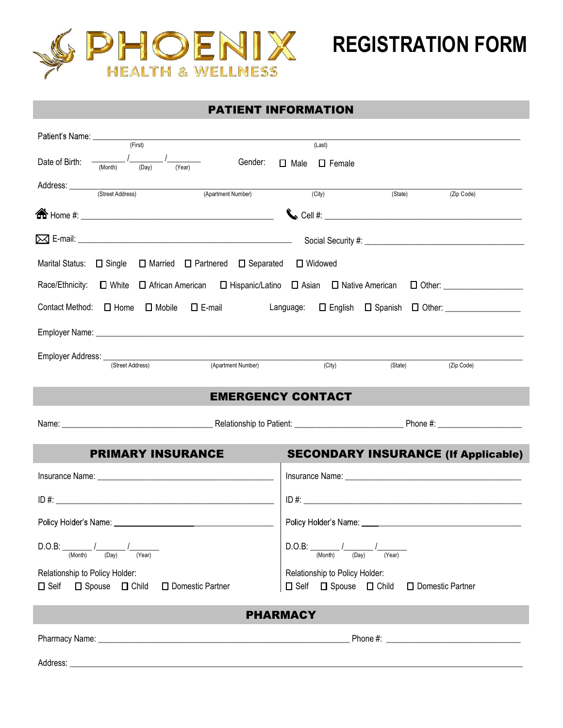

## PATIENT INFORMATION

| (First)                                                                                       | (Last)                                                                                                                                                                                                                                                  |  |
|-----------------------------------------------------------------------------------------------|---------------------------------------------------------------------------------------------------------------------------------------------------------------------------------------------------------------------------------------------------------|--|
| Date of Birth: -<br>$\frac{1}{\text{Year}}$<br>(Month)<br>(Day)                               | Gender: □ Male □ Female                                                                                                                                                                                                                                 |  |
| Address: <u>Contract Address</u> (Street Address) (Apartment Mark 2014)<br>(Apartment Number) | (City)<br>(State)<br>(Zip Code)                                                                                                                                                                                                                         |  |
|                                                                                               |                                                                                                                                                                                                                                                         |  |
|                                                                                               |                                                                                                                                                                                                                                                         |  |
| Marital Status: $\Box$ Single $\Box$ Married $\Box$ Partnered $\Box$ Separated $\Box$ Widowed |                                                                                                                                                                                                                                                         |  |
|                                                                                               | Race/Ethnicity: $\Box$ White $\Box$ African American $\Box$ Hispanic/Latino $\Box$ Asian $\Box$ Native American $\Box$ Other: $\Box$                                                                                                                    |  |
|                                                                                               | Contact Method: <b>O</b> Home <b>O</b> Mobile <b>O</b> E-mail <b>Contact Method: O</b> Home <b>O</b> Mobile <b>O</b> E-mail <b>Contact Method: O</b> Home <b>O</b> Mobile <b>O</b> E-mail <b>Contact Method: O</b> Home <b>O</b> Mobile <b>O</b> E-mail |  |
|                                                                                               |                                                                                                                                                                                                                                                         |  |
| Employer Address: <u>(Street Address)</u> (Apartment Number)                                  | (City)<br>(State)<br>(Zip Code)                                                                                                                                                                                                                         |  |
|                                                                                               |                                                                                                                                                                                                                                                         |  |
|                                                                                               | <b>EMERGENCY CONTACT</b>                                                                                                                                                                                                                                |  |
|                                                                                               |                                                                                                                                                                                                                                                         |  |
| <b>PRIMARY INSURANCE</b>                                                                      | <b>SECONDARY INSURANCE (If Applicable)</b>                                                                                                                                                                                                              |  |
|                                                                                               |                                                                                                                                                                                                                                                         |  |
|                                                                                               | $ID #: ____________$                                                                                                                                                                                                                                    |  |
|                                                                                               |                                                                                                                                                                                                                                                         |  |
| D.O.B:<br>(Month)<br>(Day)<br>(Year)                                                          | (Day)<br>(Year)                                                                                                                                                                                                                                         |  |
| Relationship to Policy Holder:                                                                | Relationship to Policy Holder:                                                                                                                                                                                                                          |  |
| $\Box$ Self $\Box$ Spouse $\Box$ Child<br>□ Domestic Partner                                  | □ Self □ Spouse □ Child □ Domestic Partner                                                                                                                                                                                                              |  |
|                                                                                               | <b>PHARMACY</b>                                                                                                                                                                                                                                         |  |
|                                                                                               | Phone #: the state of the state of the state of the state of the state of the state of the state of the state of the state of the state of the state of the state of the state of the state of the state of the state of the s                          |  |
|                                                                                               |                                                                                                                                                                                                                                                         |  |
|                                                                                               |                                                                                                                                                                                                                                                         |  |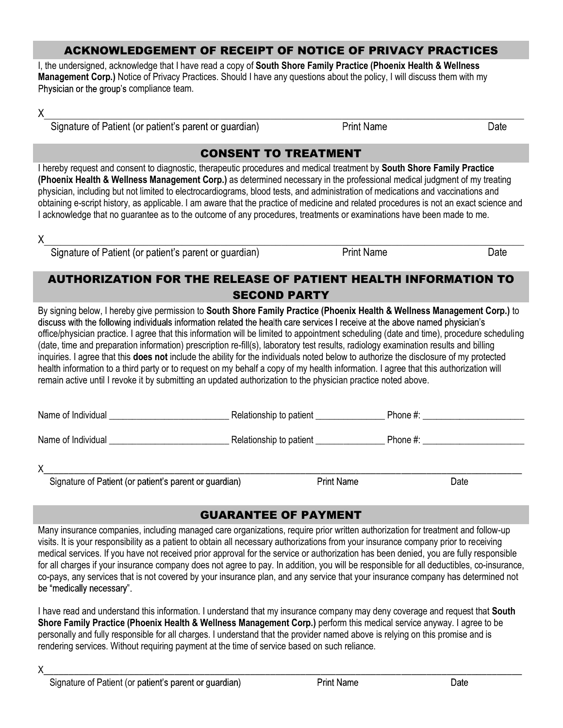#### ACKNOWLEDGEMENT OF RECEIPT OF NOTICE OF PRIVACY PRACTICES

I, the undersigned, acknowledge that I have read a copy of South Shore Family Practice (Phoenix Health & Wellness Management Corp.) Notice of Privacy Practices. Should I have any questions about the policy, I will discuss them with my Physician or the group's compliance team. ACKNOWLEDGEMENT OF RECEIPT OF NOTICE OF PRIVACY PRACTICES Indersigned, acknowledge that I have read a copy of South Shore Family Practice (Phoenix Health & Wellness ement Corp.) Notice of Privacy Practices. Should I have a

 $X$  and the state of the state of the state of the state of the state of the state of the state of the state of the state of the state of the state of the state of the state of the state of the state of the state of the s

Signature of Patient (or patient's parent or guardian) **Print Name** 

Date

## CONSENT TO TREATMENT

I hereby request and consent to diagnostic, therapeutic procedures and medical treatment by South Shore Family Practice (Phoenix Health & Wellness Management Corp.) as determined necessary in the professional medical judgment of my treating physician, including but not limited to electrocardiograms, blood tests, and administration of medications and vaccinations and obtaining e-script history, as applicable. I am aware that the practice of medicine and related procedures is not an exact science and I acknowledge that no guarantee as to the outcome of any procedures, treatments or examinations have been made to me.

 $X$  and the state of the state of the state of the state of the state of the state of the state of the state of the state of the state of the state of the state of the state of the state of the state of the state of the s

Signature of Patient (or patient's parent or guardian) Print Name Print Name

# AUTHORIZATION FOR THE RELEASE OF PATIENT HEALTH INFORMATION TO SECOND PARTY

By signing below, I hereby give permission to South Shore Family Practice (Phoenix Health & Wellness Management Corp.) to discuss with the following individuals information related the health care services I receive at the above named physician's office/physician practice. I agree that this information will be limited to appointment scheduling (date and time), procedure scheduling (date, time and preparation information) prescription re-fill(s), laboratory test results, radiology examination results and billing inquiries. I agree that this **does not** include the ability for the individuals noted below to authorize the disclosure of my protected health information to a third party or to request on my behalf a copy of my health information. I agree that this authorization will remain active until I revoke it by submitting an updated authorization to the physician practice noted above.

Signature of Patient (or patient's parent or guardian) The Series of Print Name Controller and the Date

# GUARANTEE OF PAYMENT

Many insurance companies, including managed care organizations, require prior written authorization for treatment and follow-up visits. It is your responsibility as a patient to obtain all necessary authorizations from your insurance company prior to receiving medical services. If you have not received prior approval for the service or authorization has been denied, you are fully responsible for all charges if your insurance company does not agree to pay. In addition, you will be responsible for all deductibles, co-insurance, co-pays, any services that is not covered by your insurance plan, and any service that your insurance company has determined not be "medically necessary".

I have read and understand this information. I understand that my insurance company may deny coverage and request that South Shore Family Practice (Phoenix Health & Wellness Management Corp.) perform this medical service anyway. I agree to be personally and fully responsible for all charges. I understand that the provider named above is relying on this promise and is rendering services. Without requiring payment at the time of service based on such reliance.